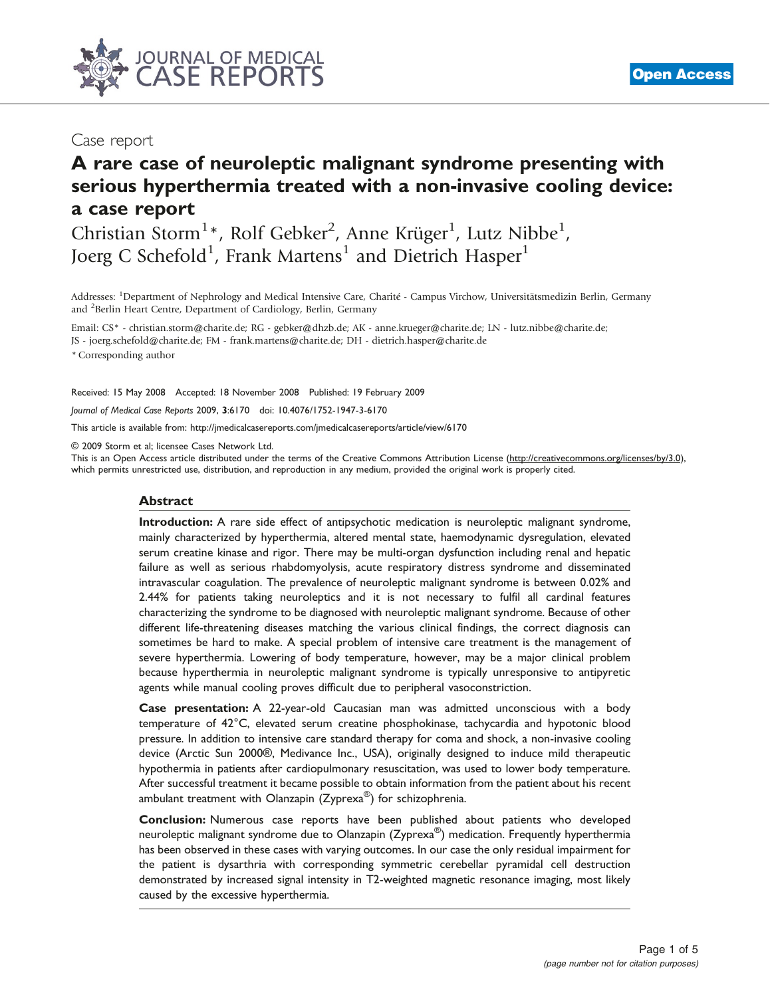

# Case report

# A rare case of neuroleptic malignant syndrome presenting with serious hyperthermia treated with a non-invasive cooling device: a case report

Christian Storm<sup>1</sup>\*, Rolf Gebker<sup>2</sup>, Anne Krüger<sup>1</sup>, Lutz Nibbe<sup>1</sup>, Joerg C Schefold<sup>1</sup>, Frank Martens<sup>1</sup> and Dietrich Hasper<sup>1</sup>

Addresses: <sup>1</sup>Department of Nephrology and Medical Intensive Care, Charité - Campus Virchow, Universitätsmedizin Berlin, Germany and <sup>2</sup> Berlin Heart Centre, Department of Cardiology, Berlin, Germany

Email: CS\* - christian.storm@charite.de; RG - gebker@dhzb.de; AK - anne.krueger@charite.de; LN - lutz.nibbe@charite.de; JS - joerg.schefold@charite.de; FM - frank.martens@charite.de; DH - dietrich.hasper@charite.de

\* Corresponding author

Received: 15 May 2008 Accepted: 18 November 2008 Published: 19 February 2009

Journal of Medical Case Reports 2009, 3:6170 doi: 10.4076/1752-1947-3-6170

This article is available from:<http://jmedicalcasereports.com/jmedicalcasereports/article/view/6170>

© 2009 Storm et al; licensee Cases Network Ltd.

This is an Open Access article distributed under the terms of the Creative Commons Attribution License [\(http://creativecommons.org/licenses/by/3.0\)](http://creativecommons.org/licenses/by/3.0), which permits unrestricted use, distribution, and reproduction in any medium, provided the original work is properly cited.

#### Abstract

Introduction: A rare side effect of antipsychotic medication is neuroleptic malignant syndrome, mainly characterized by hyperthermia, altered mental state, haemodynamic dysregulation, elevated serum creatine kinase and rigor. There may be multi-organ dysfunction including renal and hepatic failure as well as serious rhabdomyolysis, acute respiratory distress syndrome and disseminated intravascular coagulation. The prevalence of neuroleptic malignant syndrome is between 0.02% and 2.44% for patients taking neuroleptics and it is not necessary to fulfil all cardinal features characterizing the syndrome to be diagnosed with neuroleptic malignant syndrome. Because of other different life-threatening diseases matching the various clinical findings, the correct diagnosis can sometimes be hard to make. A special problem of intensive care treatment is the management of severe hyperthermia. Lowering of body temperature, however, may be a major clinical problem because hyperthermia in neuroleptic malignant syndrome is typically unresponsive to antipyretic agents while manual cooling proves difficult due to peripheral vasoconstriction.

Case presentation: A 22-year-old Caucasian man was admitted unconscious with a body temperature of 42°C, elevated serum creatine phosphokinase, tachycardia and hypotonic blood pressure. In addition to intensive care standard therapy for coma and shock, a non-invasive cooling device (Arctic Sun 2000®, Medivance Inc., USA), originally designed to induce mild therapeutic hypothermia in patients after cardiopulmonary resuscitation, was used to lower body temperature. After successful treatment it became possible to obtain information from the patient about his recent ambulant treatment with Olanzapin (Zyprexa®) for schizophrenia.

Conclusion: Numerous case reports have been published about patients who developed neuroleptic malignant syndrome due to Olanzapin (Zyprexa<sup>®</sup>) medication. Frequently hyperthermia has been observed in these cases with varying outcomes. In our case the only residual impairment for the patient is dysarthria with corresponding symmetric cerebellar pyramidal cell destruction demonstrated by increased signal intensity in T2-weighted magnetic resonance imaging, most likely caused by the excessive hyperthermia.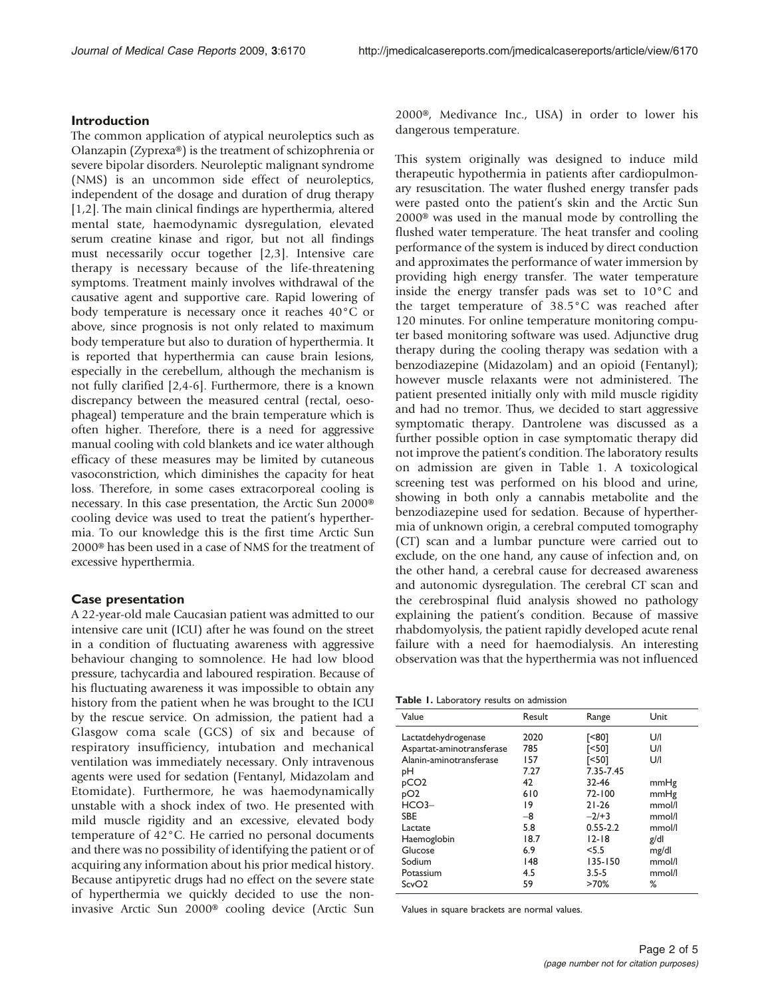#### Introduction

The common application of atypical neuroleptics such as Olanzapin (Zyprexa®) is the treatment of schizophrenia or severe bipolar disorders. Neuroleptic malignant syndrome (NMS) is an uncommon side effect of neuroleptics, independent of the dosage and duration of drug therapy [\[1](#page-4-0),[2](#page-4-0)]. The main clinical findings are hyperthermia, altered mental state, haemodynamic dysregulation, elevated serum creatine kinase and rigor, but not all findings must necessarily occur together [\[2,3\]](#page-4-0). Intensive care therapy is necessary because of the life-threatening symptoms. Treatment mainly involves withdrawal of the causative agent and supportive care. Rapid lowering of body temperature is necessary once it reaches 40°C or above, since prognosis is not only related to maximum body temperature but also to duration of hyperthermia. It is reported that hyperthermia can cause brain lesions, especially in the cerebellum, although the mechanism is not fully clarified [\[2,4-6\]](#page-4-0). Furthermore, there is a known discrepancy between the measured central (rectal, oesophageal) temperature and the brain temperature which is often higher. Therefore, there is a need for aggressive manual cooling with cold blankets and ice water although efficacy of these measures may be limited by cutaneous vasoconstriction, which diminishes the capacity for heat loss. Therefore, in some cases extracorporeal cooling is necessary. In this case presentation, the Arctic Sun 2000® cooling device was used to treat the patient's hyperthermia. To our knowledge this is the first time Arctic Sun 2000® has been used in a case of NMS for the treatment of excessive hyperthermia.

## Case presentation

A 22-year-old male Caucasian patient was admitted to our intensive care unit (ICU) after he was found on the street in a condition of fluctuating awareness with aggressive behaviour changing to somnolence. He had low blood pressure, tachycardia and laboured respiration. Because of his fluctuating awareness it was impossible to obtain any history from the patient when he was brought to the ICU by the rescue service. On admission, the patient had a Glasgow coma scale (GCS) of six and because of respiratory insufficiency, intubation and mechanical ventilation was immediately necessary. Only intravenous agents were used for sedation (Fentanyl, Midazolam and Etomidate). Furthermore, he was haemodynamically unstable with a shock index of two. He presented with mild muscle rigidity and an excessive, elevated body temperature of 42°C. He carried no personal documents and there was no possibility of identifying the patient or of acquiring any information about his prior medical history. Because antipyretic drugs had no effect on the severe state of hyperthermia we quickly decided to use the noninvasive Arctic Sun 2000® cooling device (Arctic Sun 2000®, Medivance Inc., USA) in order to lower his dangerous temperature.

This system originally was designed to induce mild therapeutic hypothermia in patients after cardiopulmonary resuscitation. The water flushed energy transfer pads were pasted onto the patient's skin and the Arctic Sun 2000® was used in the manual mode by controlling the flushed water temperature. The heat transfer and cooling performance of the system is induced by direct conduction and approximates the performance of water immersion by providing high energy transfer. The water temperature inside the energy transfer pads was set to 10°C and the target temperature of 38.5°C was reached after 120 minutes. For online temperature monitoring computer based monitoring software was used. Adjunctive drug therapy during the cooling therapy was sedation with a benzodiazepine (Midazolam) and an opioid (Fentanyl); however muscle relaxants were not administered. The patient presented initially only with mild muscle rigidity and had no tremor. Thus, we decided to start aggressive symptomatic therapy. Dantrolene was discussed as a further possible option in case symptomatic therapy did not improve the patient's condition. The laboratory results on admission are given in Table 1. A toxicological screening test was performed on his blood and urine, showing in both only a cannabis metabolite and the benzodiazepine used for sedation. Because of hyperthermia of unknown origin, a cerebral computed tomography (CT) scan and a lumbar puncture were carried out to exclude, on the one hand, any cause of infection and, on the other hand, a cerebral cause for decreased awareness and autonomic dysregulation. The cerebral CT scan and the cerebrospinal fluid analysis showed no pathology explaining the patient's condition. Because of massive rhabdomyolysis, the patient rapidly developed acute renal failure with a need for haemodialysis. An interesting observation was that the hyperthermia was not influenced

Table 1. Laboratory results on admission

| Value                                                                                                                                                                                                                  | Result                                                                                          | Range                                                                                                                                                                                          | Unit                                                                                                      |
|------------------------------------------------------------------------------------------------------------------------------------------------------------------------------------------------------------------------|-------------------------------------------------------------------------------------------------|------------------------------------------------------------------------------------------------------------------------------------------------------------------------------------------------|-----------------------------------------------------------------------------------------------------------|
| Lactatdehydrogenase<br>Aspartat-aminotransferase<br>Alanin-aminotransferase<br>pH<br>pCO <sub>2</sub><br>pO2<br>$HCO3-$<br><b>SBE</b><br>Lactate<br>Haemoglobin<br>Glucose<br>Sodium<br>Potassium<br>ScvO <sub>2</sub> | 2020<br>785<br>157<br>7.27<br>42<br>610<br>19<br>$-8$<br>5.8<br>18.7<br>6.9<br>148<br>4.5<br>59 | [ <sub>80</sub> ]<br>F <sub>501</sub><br>F <sub>501</sub><br>7.35-7.45<br>32-46<br>$72 - 100$<br>$21 - 26$<br>$-2/3$<br>$0.55 - 2.2$<br>$12 - 18$<br>< 5.5<br>$135 - 150$<br>$3.5 - 5$<br>>70% | U/I<br>U/I<br>U/I<br>mmHg<br>mmHg<br>mmol/l<br>mmol/l<br>mmol/l<br>g/dl<br>mg/dl<br>mmol/l<br>mmol/l<br>℅ |

Values in square brackets are normal values.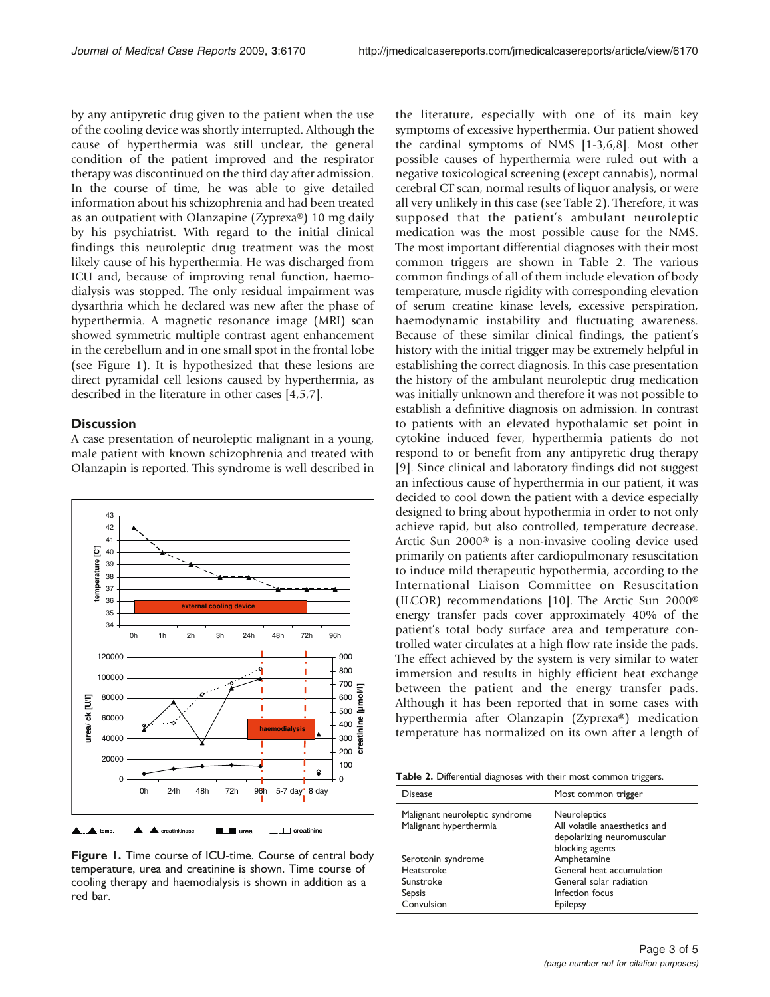by any antipyretic drug given to the patient when the use of the cooling device was shortly interrupted. Although the cause of hyperthermia was still unclear, the general condition of the patient improved and the respirator therapy was discontinued on the third day after admission. In the course of time, he was able to give detailed information about his schizophrenia and had been treated as an outpatient with Olanzapine (Zyprexa®) 10 mg daily by his psychiatrist. With regard to the initial clinical findings this neuroleptic drug treatment was the most likely cause of his hyperthermia. He was discharged from ICU and, because of improving renal function, haemodialysis was stopped. The only residual impairment was dysarthria which he declared was new after the phase of hyperthermia. A magnetic resonance image (MRI) scan showed symmetric multiple contrast agent enhancement in the cerebellum and in one small spot in the frontal lobe (see [Figure 1](#page-4-0)). It is hypothesized that these lesions are direct pyramidal cell lesions caused by hyperthermia, as described in the literature in other cases [\[4,5](#page-4-0),[7](#page-4-0)].

#### **Discussion**

A case presentation of neuroleptic malignant in a young, male patient with known schizophrenia and treated with Olanzapin is reported. This syndrome is well described in



Figure 1. Time course of ICU-time. Course of central body temperature, urea and creatinine is shown. Time course of cooling therapy and haemodialysis is shown in addition as a red bar.

the literature, especially with one of its main key symptoms of excessive hyperthermia. Our patient showed the cardinal symptoms of NMS [\[1-3,6,8](#page-4-0)]. Most other possible causes of hyperthermia were ruled out with a negative toxicological screening (except cannabis), normal cerebral CT scan, normal results of liquor analysis, or were all very unlikely in this case (see Table 2). Therefore, it was supposed that the patient's ambulant neuroleptic medication was the most possible cause for the NMS. The most important differential diagnoses with their most common triggers are shown in Table 2. The various common findings of all of them include elevation of body temperature, muscle rigidity with corresponding elevation of serum creatine kinase levels, excessive perspiration, haemodynamic instability and fluctuating awareness. Because of these similar clinical findings, the patient's history with the initial trigger may be extremely helpful in establishing the correct diagnosis. In this case presentation the history of the ambulant neuroleptic drug medication was initially unknown and therefore it was not possible to establish a definitive diagnosis on admission. In contrast to patients with an elevated hypothalamic set point in cytokine induced fever, hyperthermia patients do not respond to or benefit from any antipyretic drug therapy [[9](#page-4-0)]. Since clinical and laboratory findings did not suggest an infectious cause of hyperthermia in our patient, it was decided to cool down the patient with a device especially designed to bring about hypothermia in order to not only achieve rapid, but also controlled, temperature decrease. Arctic Sun 2000® is a non-invasive cooling device used primarily on patients after cardiopulmonary resuscitation to induce mild therapeutic hypothermia, according to the International Liaison Committee on Resuscitation (ILCOR) recommendations [\[10](#page-4-0)]. The Arctic Sun 2000® energy transfer pads cover approximately 40% of the patient's total body surface area and temperature controlled water circulates at a high flow rate inside the pads. The effect achieved by the system is very similar to water immersion and results in highly efficient heat exchange between the patient and the energy transfer pads. Although it has been reported that in some cases with hyperthermia after Olanzapin (Zyprexa®) medication temperature has normalized on its own after a length of

Table 2. Differential diagnoses with their most common triggers.

| <b>Disease</b>                                                        | Most common trigger                                                                                |
|-----------------------------------------------------------------------|----------------------------------------------------------------------------------------------------|
| Malignant neuroleptic syndrome<br>Malignant hyperthermia              | Neuroleptics<br>All volatile anaesthetics and<br>depolarizing neuromuscular<br>blocking agents     |
| Serotonin syndrome<br>Heatstroke<br>Sunstroke<br>Sepsis<br>Convulsion | Amphetamine<br>General heat accumulation<br>General solar radiation<br>Infection focus<br>Epilepsy |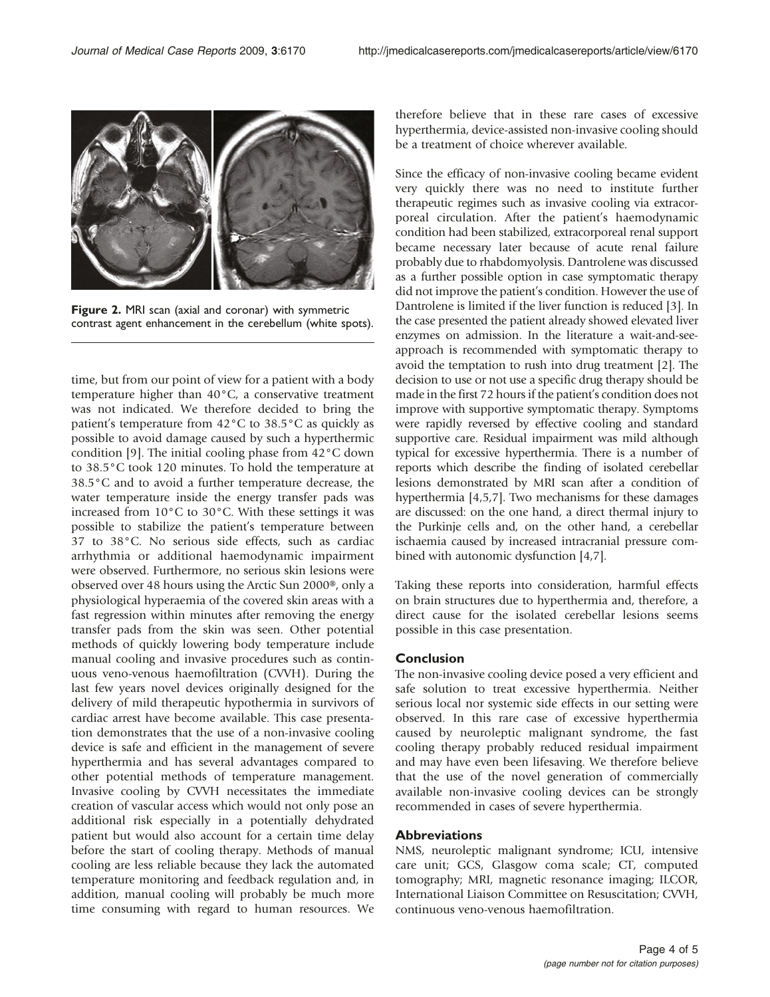

Figure 2. MRI scan (axial and coronar) with symmetric contrast agent enhancement in the cerebellum (white spots).

time, but from our point of view for a patient with a body temperature higher than 40°C, a conservative treatment was not indicated. We therefore decided to bring the patient's temperature from 42°C to 38.5°C as quickly as possible to avoid damage caused by such a hyperthermic condition [[9](#page-4-0)]. The initial cooling phase from 42°C down to 38.5°C took 120 minutes. To hold the temperature at 38.5°C and to avoid a further temperature decrease, the water temperature inside the energy transfer pads was increased from 10°C to 30°C. With these settings it was possible to stabilize the patient's temperature between 37 to 38°C. No serious side effects, such as cardiac arrhythmia or additional haemodynamic impairment were observed. Furthermore, no serious skin lesions were observed over 48 hours using the Arctic Sun 2000®, only a physiological hyperaemia of the covered skin areas with a fast regression within minutes after removing the energy transfer pads from the skin was seen. Other potential methods of quickly lowering body temperature include manual cooling and invasive procedures such as continuous veno-venous haemofiltration (CVVH). During the last few years novel devices originally designed for the delivery of mild therapeutic hypothermia in survivors of cardiac arrest have become available. This case presentation demonstrates that the use of a non-invasive cooling device is safe and efficient in the management of severe hyperthermia and has several advantages compared to other potential methods of temperature management. Invasive cooling by CVVH necessitates the immediate creation of vascular access which would not only pose an additional risk especially in a potentially dehydrated patient but would also account for a certain time delay before the start of cooling therapy. Methods of manual cooling are less reliable because they lack the automated temperature monitoring and feedback regulation and, in addition, manual cooling will probably be much more time consuming with regard to human resources. We

therefore believe that in these rare cases of excessive hyperthermia, device-assisted non-invasive cooling should be a treatment of choice wherever available.

Since the efficacy of non-invasive cooling became evident very quickly there was no need to institute further therapeutic regimes such as invasive cooling via extracorporeal circulation. After the patient's haemodynamic condition had been stabilized, extracorporeal renal support became necessary later because of acute renal failure probably due to rhabdomyolysis. Dantrolene was discussed as a further possible option in case symptomatic therapy did not improve the patient's condition. However the use of Dantrolene is limited if the liver function is reduced [\[3\]](#page-4-0). In the case presented the patient already showed elevated liver enzymes on admission. In the literature a wait-and-seeapproach is recommended with symptomatic therapy to avoid the temptation to rush into drug treatment [\[2\]](#page-4-0). The decision to use or not use a specific drug therapy should be made in the first 72 hours if the patient's condition does not improve with supportive symptomatic therapy. Symptoms were rapidly reversed by effective cooling and standard supportive care. Residual impairment was mild although typical for excessive hyperthermia. There is a number of reports which describe the finding of isolated cerebellar lesions demonstrated by MRI scan after a condition of hyperthermia [\[4](#page-4-0),5[,7\]](#page-4-0). Two mechanisms for these damages are discussed: on the one hand, a direct thermal injury to the Purkinje cells and, on the other hand, a cerebellar ischaemia caused by increased intracranial pressure combined with autonomic dysfunction [\[4,7](#page-4-0)].

Taking these reports into consideration, harmful effects on brain structures due to hyperthermia and, therefore, a direct cause for the isolated cerebellar lesions seems possible in this case presentation.

## Conclusion

The non-invasive cooling device posed a very efficient and safe solution to treat excessive hyperthermia. Neither serious local nor systemic side effects in our setting were observed. In this rare case of excessive hyperthermia caused by neuroleptic malignant syndrome, the fast cooling therapy probably reduced residual impairment and may have even been lifesaving. We therefore believe that the use of the novel generation of commercially available non-invasive cooling devices can be strongly recommended in cases of severe hyperthermia.

## **Abbreviations**

NMS, neuroleptic malignant syndrome; ICU, intensive care unit; GCS, Glasgow coma scale; CT, computed tomography; MRI, magnetic resonance imaging; ILCOR, International Liaison Committee on Resuscitation; CVVH, continuous veno-venous haemofiltration.